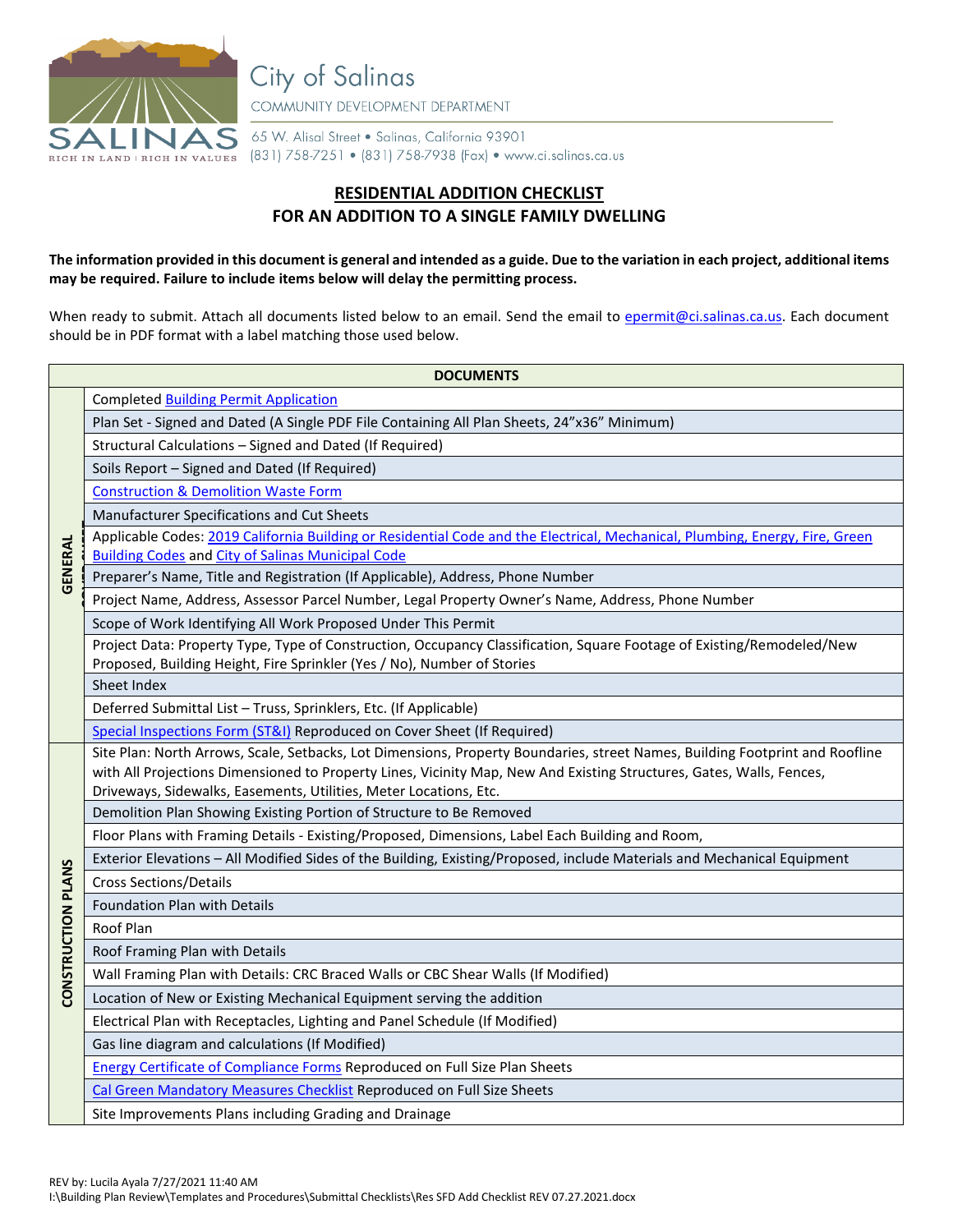

**City of Salinas** COMMUNITY DEVELOPMENT DEPARTMENT

65 W. Alisal Street . Salinas, California 93901 (831) 758-7251 • (831) 758-7938 (Fax) • www.ci.salinas.ca.us

## **RESIDENTIAL ADDITION CHECKLIST FOR AN ADDITION TO A SINGLE FAMILY DWELLING**

**The information provided in this document is general and intended as a guide. Due to the variation in each project, additional items may be required. Failure to include items below will delay the permitting process.**

When ready to submit. Attach all documents listed below to an email. Send the email to [epermit@ci.salinas.ca.us.](mailto:epermit@ci.salinas.ca.us) Each document should be in PDF format with a label matching those used below.

| <b>DOCUMENTS</b>          |                                                                                                                                                                                                                                                      |  |  |
|---------------------------|------------------------------------------------------------------------------------------------------------------------------------------------------------------------------------------------------------------------------------------------------|--|--|
| <b>GENERAL</b>            | <b>Completed Building Permit Application</b>                                                                                                                                                                                                         |  |  |
|                           | Plan Set - Signed and Dated (A Single PDF File Containing All Plan Sheets, 24"x36" Minimum)                                                                                                                                                          |  |  |
|                           | Structural Calculations - Signed and Dated (If Required)                                                                                                                                                                                             |  |  |
|                           | Soils Report - Signed and Dated (If Required)                                                                                                                                                                                                        |  |  |
|                           | <b>Construction &amp; Demolition Waste Form</b>                                                                                                                                                                                                      |  |  |
|                           | Manufacturer Specifications and Cut Sheets                                                                                                                                                                                                           |  |  |
|                           | Applicable Codes: 2019 California Building or Residential Code and the Electrical, Mechanical, Plumbing, Energy, Fire, Green                                                                                                                         |  |  |
|                           | <b>Building Codes and City of Salinas Municipal Code</b>                                                                                                                                                                                             |  |  |
|                           | Preparer's Name, Title and Registration (If Applicable), Address, Phone Number                                                                                                                                                                       |  |  |
|                           | Project Name, Address, Assessor Parcel Number, Legal Property Owner's Name, Address, Phone Number                                                                                                                                                    |  |  |
|                           | Scope of Work Identifying All Work Proposed Under This Permit                                                                                                                                                                                        |  |  |
|                           | Project Data: Property Type, Type of Construction, Occupancy Classification, Square Footage of Existing/Remodeled/New                                                                                                                                |  |  |
|                           | Proposed, Building Height, Fire Sprinkler (Yes / No), Number of Stories<br>Sheet Index                                                                                                                                                               |  |  |
|                           |                                                                                                                                                                                                                                                      |  |  |
|                           | Deferred Submittal List - Truss, Sprinklers, Etc. (If Applicable)                                                                                                                                                                                    |  |  |
|                           | Special Inspections Form (ST&I) Reproduced on Cover Sheet (If Required)                                                                                                                                                                              |  |  |
|                           | Site Plan: North Arrows, Scale, Setbacks, Lot Dimensions, Property Boundaries, street Names, Building Footprint and Roofline<br>with All Projections Dimensioned to Property Lines, Vicinity Map, New And Existing Structures, Gates, Walls, Fences, |  |  |
|                           | Driveways, Sidewalks, Easements, Utilities, Meter Locations, Etc.                                                                                                                                                                                    |  |  |
|                           | Demolition Plan Showing Existing Portion of Structure to Be Removed                                                                                                                                                                                  |  |  |
|                           | Floor Plans with Framing Details - Existing/Proposed, Dimensions, Label Each Building and Room,                                                                                                                                                      |  |  |
|                           | Exterior Elevations - All Modified Sides of the Building, Existing/Proposed, include Materials and Mechanical Equipment                                                                                                                              |  |  |
|                           | <b>Cross Sections/Details</b>                                                                                                                                                                                                                        |  |  |
|                           | Foundation Plan with Details                                                                                                                                                                                                                         |  |  |
|                           | Roof Plan                                                                                                                                                                                                                                            |  |  |
|                           | Roof Framing Plan with Details                                                                                                                                                                                                                       |  |  |
| <b>CONSTRUCTION PLANS</b> | Wall Framing Plan with Details: CRC Braced Walls or CBC Shear Walls (If Modified)                                                                                                                                                                    |  |  |
|                           | Location of New or Existing Mechanical Equipment serving the addition                                                                                                                                                                                |  |  |
|                           | Electrical Plan with Receptacles, Lighting and Panel Schedule (If Modified)                                                                                                                                                                          |  |  |
|                           | Gas line diagram and calculations (If Modified)                                                                                                                                                                                                      |  |  |
|                           | Energy Certificate of Compliance Forms Reproduced on Full Size Plan Sheets                                                                                                                                                                           |  |  |
|                           | Cal Green Mandatory Measures Checklist Reproduced on Full Size Sheets                                                                                                                                                                                |  |  |
|                           | Site Improvements Plans including Grading and Drainage                                                                                                                                                                                               |  |  |
|                           |                                                                                                                                                                                                                                                      |  |  |